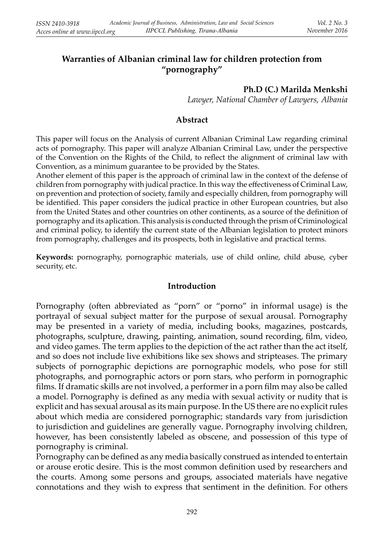# **Warranties of Albanian criminal law for children protection from "pornography"**

#### **Ph.D (C.) Marilda Menkshi**

*Lawyer, National Chamber of Lawyers, Albania*

#### **Abstract**

This paper will focus on the Analysis of current Albanian Criminal Law regarding criminal acts of pornography. This paper will analyze Albanian Criminal Law, under the perspective of the Convention on the Rights of the Child, to reflect the alignment of criminal law with Convention, as a minimum guarantee to be provided by the States.

Another element of this paper is the approach of criminal law in the context of the defense of children from pornography with judical practice. In this way the effectiveness of Criminal Law, on prevention and protection of society, family and especially children, from pornography will be identified. This paper considers the judical practice in other European countries, but also from the United States and other countries on other continents, as a source of the definition of pornography and its aplication. This analysis is conducted through the prism of Criminological and criminal policy, to identify the current state of the Albanian legislation to protect minors from pornography, challenges and its prospects, both in legislative and practical terms.

**Keywords:** pornography, pornographic materials, use of child online, child abuse, cyber security, etc.

#### **Introduction**

Pornography (often abbreviated as "porn" or "porno" in informal usage) is the portrayal of sexual subject matter for the purpose of sexual arousal. Pornography may be presented in a variety of media, including books, magazines, postcards, photographs, sculpture, drawing, painting, animation, sound recording, film, video, and video games. The term applies to the depiction of the act rather than the act itself, and so does not include live exhibitions like sex shows and stripteases. The primary subjects of pornographic depictions are pornographic models, who pose for still photographs, and pornographic actors or porn stars, who perform in pornographic films. If dramatic skills are not involved, a performer in a porn film may also be called a model. Pornography is defined as any media with sexual activity or nudity that is explicit and has sexual arousal as its main purpose. In the US there are no explicit rules about which media are considered pornographic; standards vary from jurisdiction to jurisdiction and guidelines are generally vague. Pornography involving children, however, has been consistently labeled as obscene, and possession of this type of pornography is criminal.

Pornography can be defined as any media basically construed as intended to entertain or arouse erotic desire. This is the most common definition used by researchers and the courts. Among some persons and groups, associated materials have negative connotations and they wish to express that sentiment in the definition. For others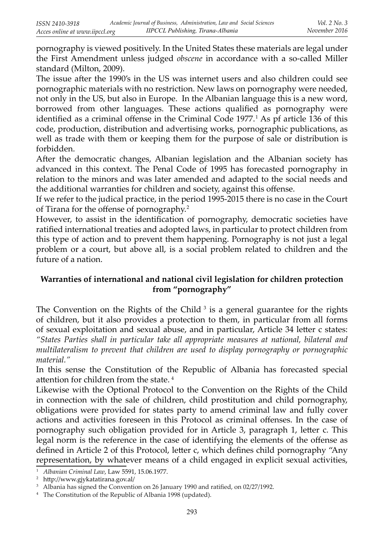pornography is viewed positively. In the United States these materials are legal under the First Amendment unless judged *obscene* in accordance with a so-called Miller standard (Milton, 2009).

The issue after the 1990's in the US was internet users and also children could see pornographic materials with no restriction. New laws on pornography were needed, not only in the US, but also in Europe. In the Albanian language this is a new word, borrowed from other languages. These actions qualified as pornography were identified as a criminal offense in the Criminal Code 1977.<sup>1</sup> As pf article 136 of this code, production, distribution and advertising works, pornographic publications, as well as trade with them or keeping them for the purpose of sale or distribution is forbidden.

After the democratic changes, Albanian legislation and the Albanian society has advanced in this context. The Penal Code of 1995 has forecasted pornography in relation to the minors and was later amended and adapted to the social needs and the additional warranties for children and society, against this offense.

If we refer to the judical practice, in the period 1995-2015 there is no case in the Court of Tirana for the offense of pornography.<sup>2</sup>

However, to assist in the identification of pornography, democratic societies have ratified international treaties and adopted laws, in particular to protect children from this type of action and to prevent them happening. Pornography is not just a legal problem or a court, but above all, is a social problem related to children and the future of a nation.

# **Warranties of international and national civil legislation for children protection from "pornography"**

The Convention on the Rights of the Child<sup>3</sup> is a general guarantee for the rights of children, but it also provides a protection to them, in particular from all forms of sexual exploitation and sexual abuse, and in particular, Article 34 letter c states: *"States Parties shall in particular take all appropriate measures at national, bilateral and multilateralism to prevent that children are used to display pornography or pornographic material."*

 In this sense the Constitution of the Republic of Albania has forecasted special attention for children from the state. $4$ 

Likewise with the Optional Protocol to the Convention on the Rights of the Child in connection with the sale of children, child prostitution and child pornography, obligations were provided for states party to amend criminal law and fully cover actions and activities foreseen in this Protocol as criminal offenses. In the case of pornography such obligation provided for in Article 3, paragraph 1, letter c. This legal norm is the reference in the case of identifying the elements of the offense as defined in Article 2 of this Protocol, letter c, which defines child pornography "Any representation, by whatever means of a child engaged in explicit sexual activities,

<sup>1</sup> *Albanian Criminal Law*, Law 5591, 15.06.1977.

 $2$  http://www.gjykatatirana.gov.al/

<sup>&</sup>lt;sup>3</sup> Albania has signed the Convention on 26 January 1990 and ratified, on  $02/27/1992$ .

<sup>&</sup>lt;sup>4</sup> The Constitution of the Republic of Albania 1998 (updated).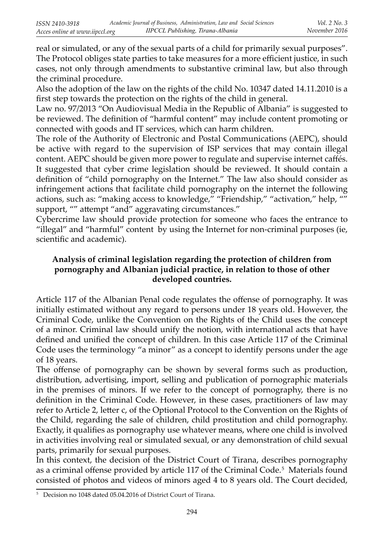real or simulated, or any of the sexual parts of a child for primarily sexual purposes". The Protocol obliges state parties to take measures for a more efficient justice, in such cases, not only through amendments to substantive criminal law, but also through the criminal procedure.

Also the adoption of the law on the rights of the child No. 10347 dated 14.11.2010 is a first step towards the protection on the rights of the child in general.

Law no. 97/2013 "On Audiovisual Media in the Republic of Albania" is suggested to be reviewed. The definition of "harmful content" may include content promoting or connected with goods and IT services, which can harm children.

The role of the Authority of Electronic and Postal Communications (AEPC), should be active with regard to the supervision of ISP services that may contain illegal content. AEPC should be given more power to regulate and supervise internet caffés. It suggested that cyber crime legislation should be reviewed. It should contain a definition of "child pornography on the Internet." The law also should consider as infringement actions that facilitate child pornography on the internet the following actions, such as: "making access to knowledge," "Friendship," "activation," help, "" support, "" attempt "and" aggravating circumstances."

 Cybercrime law should provide protection for someone who faces the entrance to "illegal" and "harmful" content by using the Internet for non-criminal purposes (ie, scientific and academic).

## **Analysis of criminal legislation regarding the protection of children from pornography and Albanian judicial practice, in relation to those of other developed countries.**

Article 117 of the Albanian Penal code regulates the offense of pornography. It was initially estimated without any regard to persons under 18 years old. However, the Criminal Code, unlike the Convention on the Rights of the Child uses the concept of a minor. Criminal law should unify the notion, with international acts that have defined and unified the concept of children. In this case Article 117 of the Criminal Code uses the terminology "a minor" as a concept to identify persons under the age of 18 years.

The offense of pornography can be shown by several forms such as production, distribution, advertising, import, selling and publication of pornographic materials in the premises of minors. If we refer to the concept of pornography, there is no definition in the Criminal Code. However, in these cases, practitioners of law may refer to Article 2, letter c, of the Optional Protocol to the Convention on the Rights of the Child, regarding the sale of children, child prostitution and child pornography. Exactly, it qualifies as pornography use whatever means, where one child is involved in activities involving real or simulated sexual, or any demonstration of child sexual parts, primarily for sexual purposes.

In this context, the decision of the District Court of Tirana, describes pornography as a criminal offense provided by article 117 of the Criminal Code.<sup>5</sup> Materials found consisted of photos and videos of minors aged 4 to 8 years old. The Court decided,

<sup>5</sup> Decision no 1048 dated 05.04.2016 of District Court of Tirana.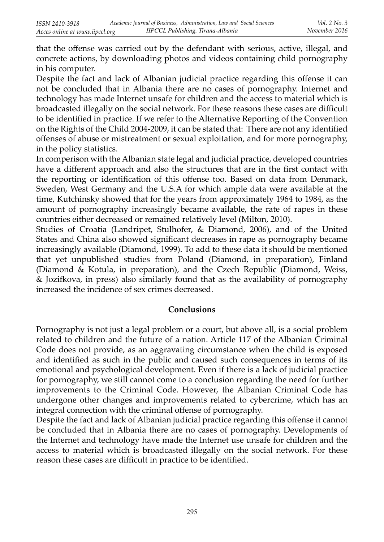that the offense was carried out by the defendant with serious, active, illegal, and concrete actions, by downloading photos and videos containing child pornography in his computer.

Despite the fact and lack of Albanian judicial practice regarding this offense it can not be concluded that in Albania there are no cases of pornography. Internet and technology has made Internet unsafe for children and the access to material which is broadcasted illegally on the social network. For these reasons these cases are difficult to be identified in practice. If we refer to the Alternative Reporting of the Convention on the Rights of the Child 2004-2009, it can be stated that: There are not any identified offenses of abuse or mistreatment or sexual exploitation, and for more pornography, in the policy statistics.

In comperison with the Albanian state legal and judicial practice, developed countries have a different approach and also the structures that are in the first contact with the reporting or identification of this offense too. Based on data from Denmark, Sweden, West Germany and the U.S.A for which ample data were available at the time, Kutchinsky showed that for the years from approximately 1964 to 1984, as the amount of pornography increasingly became available, the rate of rapes in these countries either decreased or remained relatively level (Milton, 2010).

Studies of Croatia (Landripet, Stulhofer, & Diamond, 2006), and of the United States and China also showed significant decreases in rape as pornography became increasingly available (Diamond, 1999). To add to these data it should be mentioned that yet unpublished studies from Poland (Diamond, in preparation), Finland (Diamond & Kotula, in preparation), and the Czech Republic (Diamond, Weiss, & Jozi& ova, in press) also similarly found that as the availability of pornography increased the incidence of sex crimes decreased.

### **Conclusions**

Pornography is not just a legal problem or a court, but above all, is a social problem related to children and the future of a nation. Article 117 of the Albanian Criminal Code does not provide, as an aggravating circumstance when the child is exposed and identified as such in the public and caused such consequences in terms of its emotional and psychological development. Even if there is a lack of judicial practice for pornography, we still cannot come to a conclusion regarding the need for further improvements to the Criminal Code. However, the Albanian Criminal Code has undergone other changes and improvements related to cybercrime, which has an integral connection with the criminal offense of pornography.

Despite the fact and lack of Albanian judicial practice regarding this offense it cannot be concluded that in Albania there are no cases of pornography. Developments of the Internet and technology have made the Internet use unsafe for children and the access to material which is broadcasted illegally on the social network. For these reason these cases are difficult in practice to be identified.